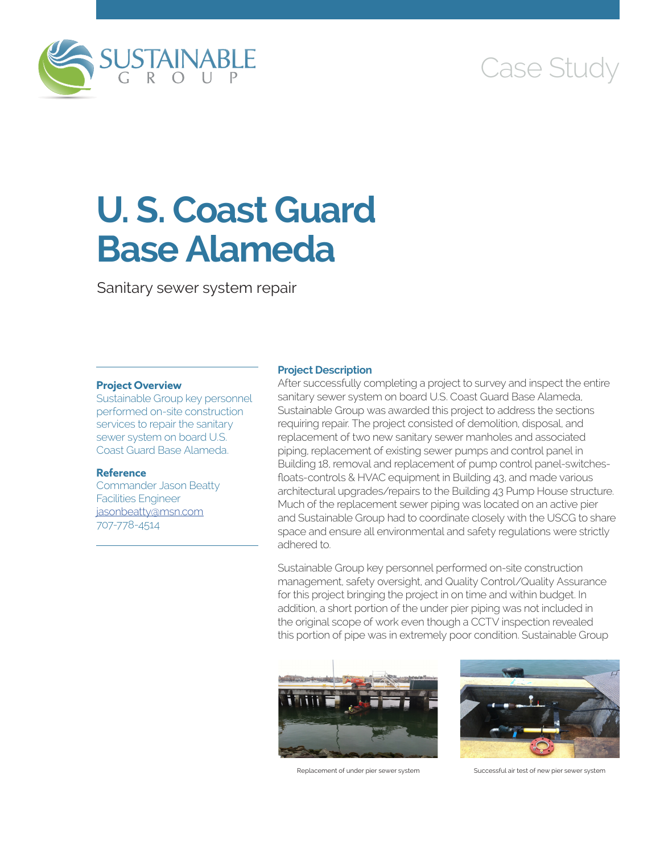

# Case Study

# **U. S. Coast Guard Base Alameda**

Sanitary sewer system repair

## **Project Overview**

Sustainable Group key personnel performed on-site construction services to repair the sanitary sewer system on board U.S. Coast Guard Base Alameda.

## **Reference**

Commander Jason Beatty Facilities Engineer [jasonbeatty@msn.com](mailto:jasonbeatty@msn.com) 707-778-4514

## **Project Description**

After successfully completing a project to survey and inspect the entire sanitary sewer system on board U.S. Coast Guard Base Alameda, Sustainable Group was awarded this project to address the sections requiring repair. The project consisted of demolition, disposal, and replacement of two new sanitary sewer manholes and associated piping, replacement of existing sewer pumps and control panel in Building 18, removal and replacement of pump control panel-switchesfloats-controls & HVAC equipment in Building 43, and made various architectural upgrades/repairs to the Building 43 Pump House structure. Much of the replacement sewer piping was located on an active pier and Sustainable Group had to coordinate closely with the USCG to share space and ensure all environmental and safety regulations were strictly adhered to.

Sustainable Group key personnel performed on-site construction management, safety oversight, and Quality Control/Quality Assurance for this project bringing the project in on time and within budget. In addition, a short portion of the under pier piping was not included in the original scope of work even though a CCTV inspection revealed this portion of pipe was in extremely poor condition. Sustainable Group





Replacement of under pier sewer system Successful air test of new pier sewer system